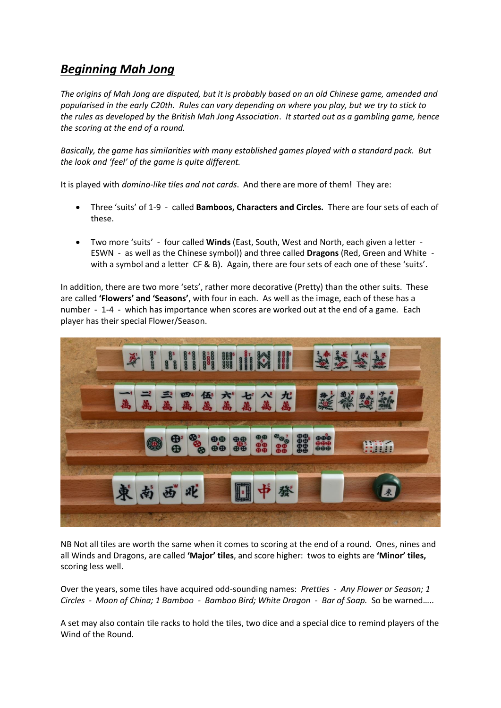## *Beginning Mah Jong*

*The origins of Mah Jong are disputed, but it is probably based on an old Chinese game, amended and popularised in the early C20th. Rules can vary depending on where you play, but we try to stick to the rules as developed by the British Mah Jong Association*. *It started out as a gambling game, hence the scoring at the end of a round.*

*Basically, the game has similarities with many established games played with a standard pack. But the look and 'feel' of the game is quite different.*

It is played with *domino-like tiles and not cards*. And there are more of them! They are:

- Three 'suits' of 1-9 called **Bamboos, Characters and Circles.** There are four sets of each of these.
- Two more 'suits' four called **Winds** (East, South, West and North, each given a letter ESWN - as well as the Chinese symbol)) and three called **Dragons** (Red, Green and White with a symbol and a letter CF & B). Again, there are four sets of each one of these 'suits'.

In addition, there are two more 'sets', rather more decorative (Pretty) than the other suits. These are called **'Flowers' and 'Seasons'**, with four in each. As well as the image, each of these has a number - 1-4 - which has importance when scores are worked out at the end of a game. Each player has their special Flower/Season.



NB Not all tiles are worth the same when it comes to scoring at the end of a round. Ones, nines and all Winds and Dragons, are called **'Major' tiles**, and score higher: twos to eights are **'Minor' tiles,** scoring less well.

Over the years, some tiles have acquired odd-sounding names: *Pretties - Any Flower or Season; 1 Circles - Moon of China; 1 Bamboo - Bamboo Bird; White Dragon - Bar of Soap.* So be warned…..

A set may also contain tile racks to hold the tiles, two dice and a special dice to remind players of the Wind of the Round.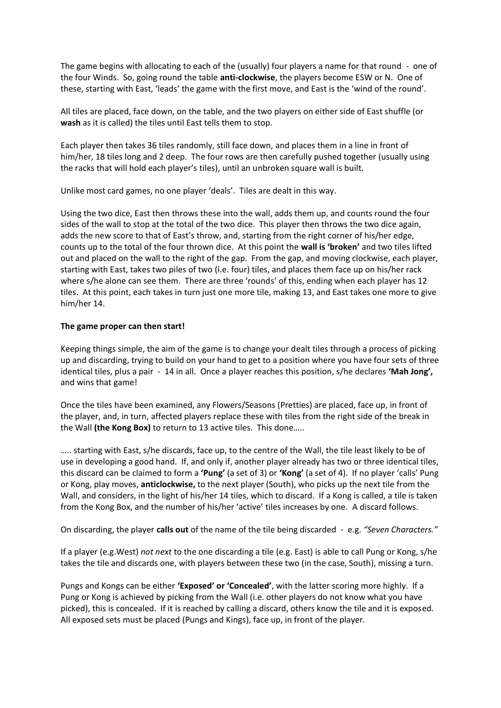The game begins with allocating to each of the (usually) four players a name for that round - one of the four Winds. So, going round the table **anti-clockwise**, the players become ESW or N. One of these, starting with East, 'leads' the game with the first move, and East is the 'wind of the round'.

All tiles are placed, face down, on the table, and the two players on either side of East shuffle (or **wash** as it is called) the tiles until East tells them to stop.

Each player then takes 36 tiles randomly, still face down, and places them in a line in front of him/her, 18 tiles long and 2 deep. The four rows are then carefully pushed together (usually using the racks that will hold each player's tiles), until an unbroken square wall is built.

Unlike most card games, no one player 'deals'. Tiles are dealt in this way.

Using the two dice, East then throws these into the wall, adds them up, and counts round the four sides of the wall to stop at the total of the two dice. This player then throws the two dice again, adds the new score to that of East's throw, and, starting from the right corner of his/her edge, counts up to the total of the four thrown dice. At this point the **wall is 'broken'** and two tiles lifted out and placed on the wall to the right of the gap. From the gap, and moving clockwise, each player, starting with East, takes two piles of two (i.e. four) tiles, and places them face up on his/her rack where s/he alone can see them. There are three 'rounds' of this, ending when each player has 12 tiles. At this point, each takes in turn just one more tile, making 13, and East takes one more to give him/her 14.

## **The game proper can then start!**

Keeping things simple, the aim of the game is to change your dealt tiles through a process of picking up and discarding, trying to build on your hand to get to a position where you have four sets of three identical tiles, plus a pair - 14 in all. Once a player reaches this position, s/he declares **'Mah Jong',**  and wins that game!

Once the tiles have been examined, any Flowers/Seasons (Pretties) are placed, face up, in front of the player, and, in turn, affected players replace these with tiles from the right side of the break in the Wall **(the Kong Box)** to return to 13 active tiles. This done…..

….. starting with East, s/he discards, face up, to the centre of the Wall, the tile least likely to be of use in developing a good hand. If, and only if, another player already has two or three identical tiles, this discard can be claimed to form a **'Pung'** (a set of 3) or **'Kong'** (a set of 4). If no player 'calls' Pung or Kong, play moves, **anticlockwise,** to the next player (South), who picks up the next tile from the Wall, and considers, in the light of his/her 14 tiles, which to discard. If a Kong is called, a tile is taken from the Kong Box, and the number of his/her 'active' tiles increases by one. A discard follows.

On discarding, the player **calls out** of the name of the tile being discarded - e.g. *"Seven Characters."*

If a player (e.g.West) *not next* to the one discarding a tile (e.g. East) is able to call Pung or Kong, s/he takes the tile and discards one, with players between these two (in the case, South), missing a turn.

Pungs and Kongs can be either **'Exposed' or 'Concealed'**, with the latter scoring more highly. If a Pung or Kong is achieved by picking from the Wall (i.e. other players do not know what you have picked), this is concealed. If it is reached by calling a discard, others know the tile and it is exposed. All exposed sets must be placed (Pungs and Kings), face up, in front of the player.